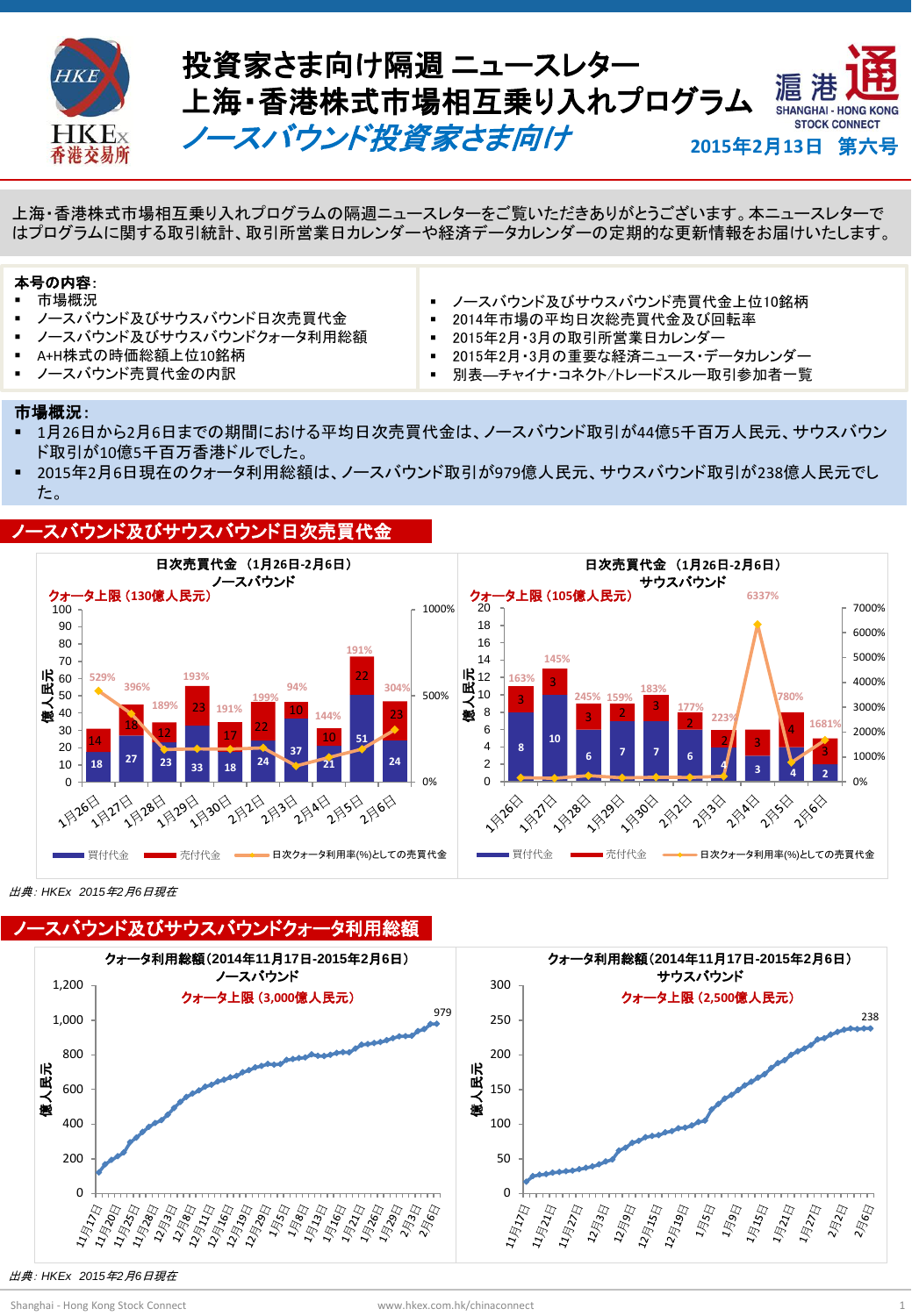



**Hot Topics** 上海・香港株式市場相互乗り入れプログラムの隔週ニュースレターをご覧いただきありがとうございます。本ニュースレターで はプログラムに関する取引統計、取引所営業日カレンダーや経済データカレンダーの定期的な更新情報をお届けいたします。

### 本号の内容:

- 市場概況
- ノースバウンド及びサウスバウンド日次売買代金
- ノースバウンド及びサウスバウンドクォータ利用総額
- A+H株式の時価総額上位10銘柄
- ノースバウンド売買代金の内訳
- ノースバウンド及びサウスバウンド売買代金上位10銘柄
- 2014年市場の平均日次総売買代金及び回転率
- 2015年2月・3月の取引所営業日カレンダー
- 2015年2月・3月の重要な経済ニュース・データカレンダー
- 別表―チャイナ・コネクト/トレードスルー取引参加者一覧

#### 市場概況:

- 1月26日から2月6日までの期間における平均日次売買代金は、ノースバウンド取引が44億5千百万人民元、サウスバウン ド取引が10億5千百万香港ドルでした。
- 2015年2月6日現在のクォータ利用総額は、ノースバウンド取引が979億人民元、サウスバウンド取引が238億人民元でし た。

#### ノースバウンド及びサウスバウンド日次売買代金



出典: *HKEx 2015*年*2*月*6*日現在



出典: *HKEx 2015*年*2*月*6*日現在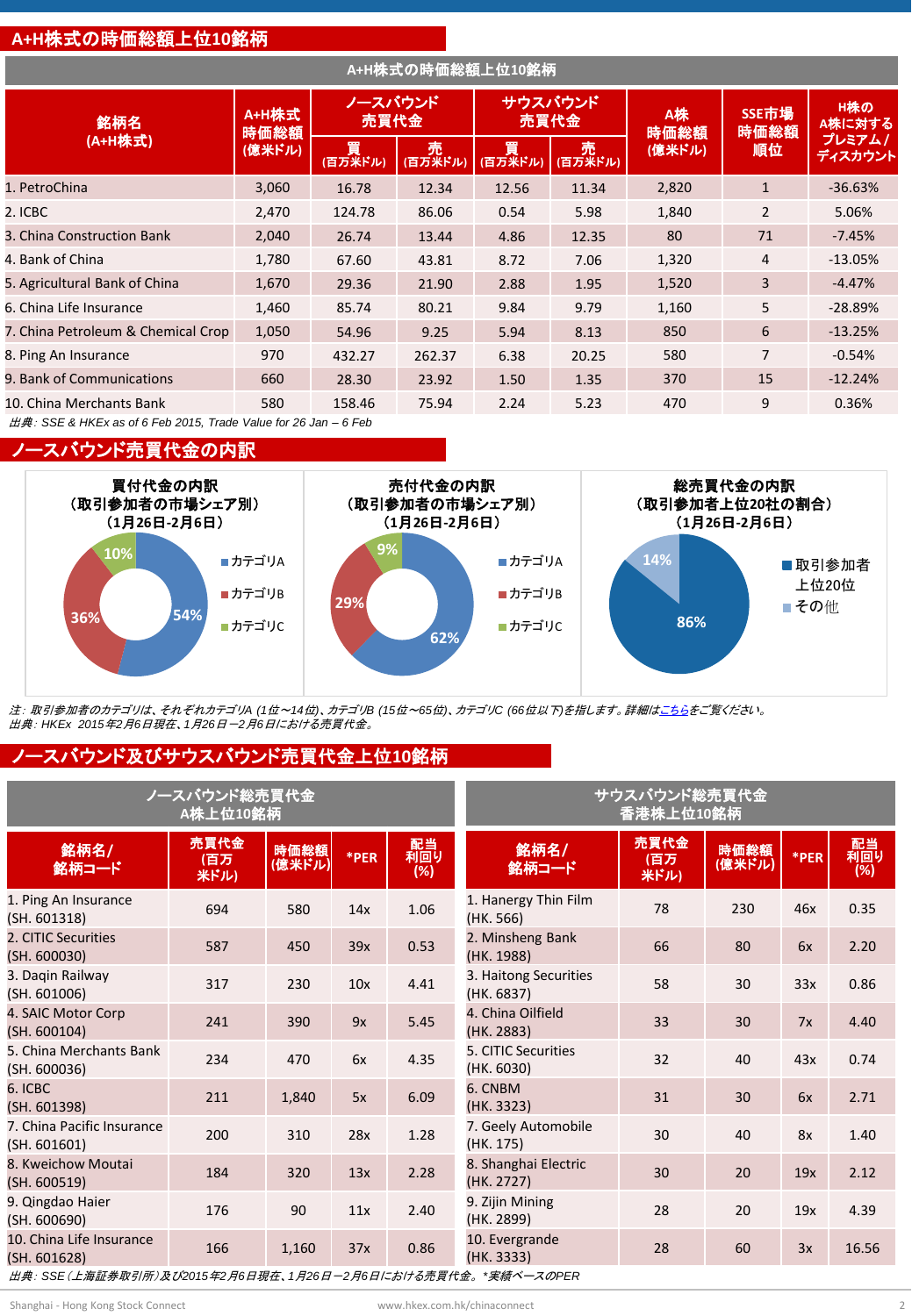#### **A+H**株式の時価総額上位**10**銘柄

| A+H株式の時価総額上位10銘柄                                                            |               |                     |                |                 |                |                   |                |                   |
|-----------------------------------------------------------------------------|---------------|---------------------|----------------|-----------------|----------------|-------------------|----------------|-------------------|
| 銘柄名                                                                         | A+H株式<br>時価総額 | ノースバウンド<br>売買代金     |                | サウスバウンド<br>売買代金 |                | <b>A株</b><br>時価総額 | SSE市場<br>時価総額  | H株の<br>A株に対する     |
| (A+H株式)                                                                     | (億米ドル)        | <b>買</b><br>(百万米ドル) | - 売<br>(百万米ドル) | 買<br>(百万米ドル)    | - 売<br>(百万米ドル) | (億米ドル)            | 順位             | プレミアム/<br>ディスカウント |
| 1. PetroChina                                                               | 3,060         | 16.78               | 12.34          | 12.56           | 11.34          | 2,820             | $\mathbf{1}$   | $-36.63%$         |
| 2. ICBC                                                                     | 2,470         | 124.78              | 86.06          | 0.54            | 5.98           | 1,840             | $\overline{2}$ | 5.06%             |
| 3. China Construction Bank                                                  | 2,040         | 26.74               | 13.44          | 4.86            | 12.35          | 80                | 71             | $-7.45%$          |
| 4. Bank of China                                                            | 1,780         | 67.60               | 43.81          | 8.72            | 7.06           | 1,320             | $\overline{4}$ | $-13.05%$         |
| 5. Agricultural Bank of China                                               | 1,670         | 29.36               | 21.90          | 2.88            | 1.95           | 1,520             | 3              | $-4.47%$          |
| 6. China Life Insurance                                                     | 1,460         | 85.74               | 80.21          | 9.84            | 9.79           | 1,160             | 5              | $-28.89%$         |
| 7. China Petroleum & Chemical Crop                                          | 1,050         | 54.96               | 9.25           | 5.94            | 8.13           | 850               | 6              | $-13.25%$         |
| 8. Ping An Insurance                                                        | 970           | 432.27              | 262.37         | 6.38            | 20.25          | 580               | $\overline{7}$ | $-0.54%$          |
| 9. Bank of Communications                                                   | 660           | 28.30               | 23.92          | 1.50            | 1.35           | 370               | 15             | $-12.24%$         |
| 10. China Merchants Bank                                                    | 580           | 158.46              | 75.94          | 2.24            | 5.23           | 470               | 9              | 0.36%             |
| $H\ddot{\mu}$ : SSE & HKEx as of 6 Feb 2015, Trade Value for 26 Jan – 6 Feb |               |                     |                |                 |                |                   |                |                   |

ノースバウンド売買代金の内訳



注: 取引参加者のカテゴリは、それぞれカテゴリ*A (1*位~*14*位*)*、カテゴリ*B (15*位~*65*位*)*、カテゴリ*C (66*位以下*)*を指します。詳細[はこちらを](http://www.hkex.com.hk/eng/stat/epstat/exreport.htm)ご覧ください。 出典: *HKEx 2015*年*2*月*6*日現在、*1*月*26*日-*2*月*6*日における売買代金。

#### ノースバウンド及びサウスバウンド売買代金上位**10**銘柄

| ノースバウンド総売買代金                                                 | サウスバウンド総売買代金<br>香港株上位10銘柄 |                |      |                  |                                     |                      |                |      |                  |
|--------------------------------------------------------------|---------------------------|----------------|------|------------------|-------------------------------------|----------------------|----------------|------|------------------|
| 銘柄名/<br>銘柄コード                                                | 売買代金<br>(百万<br>米ドル)       | 時価総額<br>(億米ドル) | *PER | 配当<br>利回り<br>(%) | 銘柄名/<br>銘柄コード                       | 売買代金<br>(百万)<br>米ドル) | 時価総額<br>(億米ドル) | *PER | 配当<br>利回り<br>(%) |
| 1. Ping An Insurance<br>(SH. 601318)                         | 694                       | 580            | 14x  | 1.06             | 1. Hanergy Thin Film<br>(HK. 566)   | 78                   | 230            | 46x  | 0.35             |
| 2. CITIC Securities<br>(SH. 600030)                          | 587                       | 450            | 39x  | 0.53             | 2. Minsheng Bank<br>(HK. 1988)      | 66                   | 80             | 6x   | 2.20             |
| 3. Dagin Railway<br>(SH. 601006)                             | 317                       | 230            | 10x  | 4.41             | 3. Haitong Securities<br>(HK. 6837) | 58                   | 30             | 33x  | 0.86             |
| 4. SAIC Motor Corp<br>(SH. 600104)                           | 241                       | 390            | 9x   | 5.45             | 4. China Oilfield<br>(HK. 2883)     | 33                   | 30             | 7x   | 4.40             |
| 5. China Merchants Bank<br>(SH. 600036)                      | 234                       | 470            | 6x   | 4.35             | 5. CITIC Securities<br>(HK. 6030)   | 32                   | 40             | 43x  | 0.74             |
| 6. ICBC<br>(SH. 601398)                                      | 211                       | 1,840          | 5x   | 6.09             | 6. CNBM<br>(HK. 3323)               | 31                   | 30             | 6x   | 2.71             |
| 7. China Pacific Insurance<br>(SH. 601601)                   | 200                       | 310            | 28x  | 1.28             | 7. Geely Automobile<br>(HK. 175)    | 30                   | 40             | 8x   | 1.40             |
| 8. Kweichow Moutai<br>(SH. 600519)                           | 184                       | 320            | 13x  | 2.28             | 8. Shanghai Electric<br>(HK. 2727)  | 30                   | 20             | 19x  | 2.12             |
| 9. Qingdao Haier<br>(SH. 600690)                             | 176                       | 90             | 11x  | 2.40             | 9. Zijin Mining<br>(HK. 2899)       | 28                   | 20             | 19x  | 4.39             |
| 10. China Life Insurance<br>(SH. 601628)                     | 166                       | 1,160          | 37x  | 0.86             | 10. Evergrande<br>(HK. 3333)        | 28                   | 60             | 3x   | 16.56            |
| 出典: SSE(上海証券取引所)及び2015年2月6日現在、1月26日ー2月6日における売買代金。 *実績ベースのPER |                           |                |      |                  |                                     |                      |                |      |                  |

Shanghai - Hong Kong Stock Connect www.hkex.com.hk/chinaconnect 2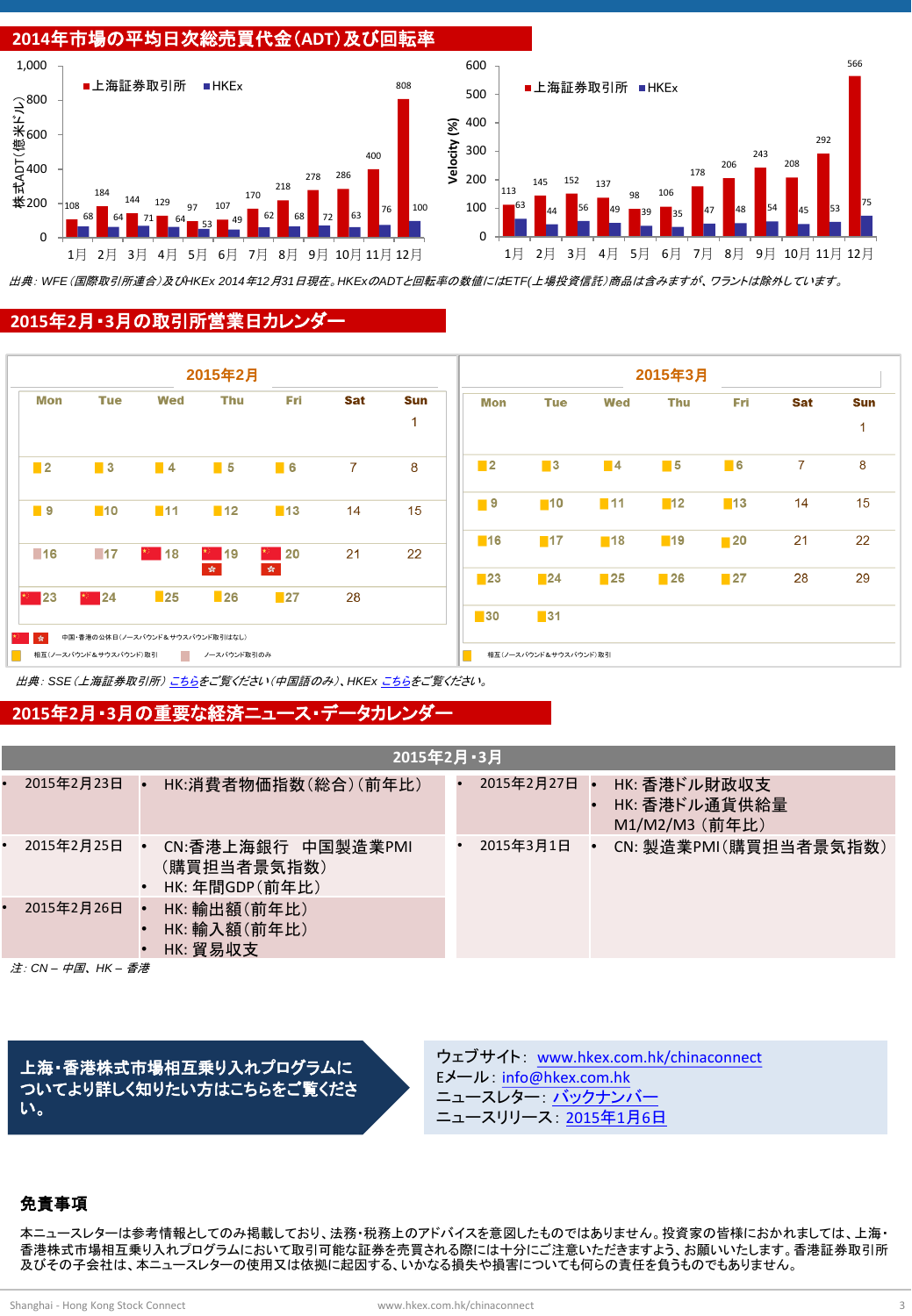

出典: *WFE*(国際取引所連合)及び*HKEx 2014*年*12*月*31*日現在。*HKEx*の*ADT*と回転率の数値には*ETF(*上場投資信託)商品は含みますが、ワラントは除外しています。

#### **2015**年**2**月・**3**月の取引所営業日カレンダー



出典: *SSE*(上海証券取引所) [こちらを](http://www.sse.com.cn/marketservices/hkexsc/home/holiday/)ご覧ください(中国語のみ)、*HKEx* [こちら](http://www.hkex.com.hk/eng/market/sec_tradinfra/chinaconnect/Calendar.htm)をご覧ください。

#### **2015**年**2**月・**3**月の重要な経済ニュース・データカレンダー

|           | 2015年2月·3月 |  |                                                     |  |            |  |                                                 |  |
|-----------|------------|--|-----------------------------------------------------|--|------------|--|-------------------------------------------------|--|
|           | 2015年2月23日 |  | HK:消費者物価指数(総合)(前年比)                                 |  | 2015年2月27日 |  | HK: 香港ドル財政収支<br>HK: 香港ドル通貨供給量<br>M1/M2/M3 (前年比) |  |
| $\bullet$ | 2015年2月25日 |  | CN:香港上海銀行 中国製造業PMI<br>(購買担当者景気指数)<br>HK: 年間GDP(前年比) |  | 2015年3月1日  |  | CN: 製造業PMI(購買担当者景気指数)                           |  |
| $\bullet$ | 2015年2月26日 |  | HK: 輸出額(前年比)<br>HK: 輸入額(前年比)<br>HK: 貿易収支            |  |            |  |                                                 |  |
|           |            |  |                                                     |  |            |  |                                                 |  |

注: *CN –* 中国、 *HK –* 香港

上海・香港株式市場相互乗り入れプログラムに ついてより詳しく知りたい方はこちらをご覧くださ い。

ウェブサイト: [www.hkex.com.hk/chinaconnect](http://www.hkex.com.hk/chinaconnect) Eメール: [info@hkex.com.hk](mailto:info@hkex.com.hk) ニュースレター: [バックナンバー](http://www.hkex.com.hk/eng/market/sec_tradinfra/chinaconnect/Newsletter.htm) ニュースリリース: [2015](http://www.hkex.com.hk/eng/newsconsul/hkexnews/2015/150106news.htm)[年](http://www.hkex.com.hk/eng/newsconsul/hkexnews/2015/150106news.htm)[1](http://www.hkex.com.hk/eng/newsconsul/hkexnews/2015/150106news.htm)[月](http://www.hkex.com.hk/eng/newsconsul/hkexnews/2015/150106news.htm)[6](http://www.hkex.com.hk/eng/newsconsul/hkexnews/2015/150106news.htm)[日](http://www.hkex.com.hk/eng/newsconsul/hkexnews/2015/150106news.htm)

#### 免責事項

本ニュースレターは参考情報としてのみ掲載しており、法務・税務上のアドバイスを意図したものではありません。投資家の皆様におかれましては、上海・ 香港株式市場相互乗り入れプログラムにおいて取引可能な証券を売買される際には十分にご注意いただきますよう、お願いいたします。香港証券取引所 及びその子会社は、本ニュースレターの使用又は依拠に起因する、いかなる損失や損害についても何らの責任を負うものでもありません。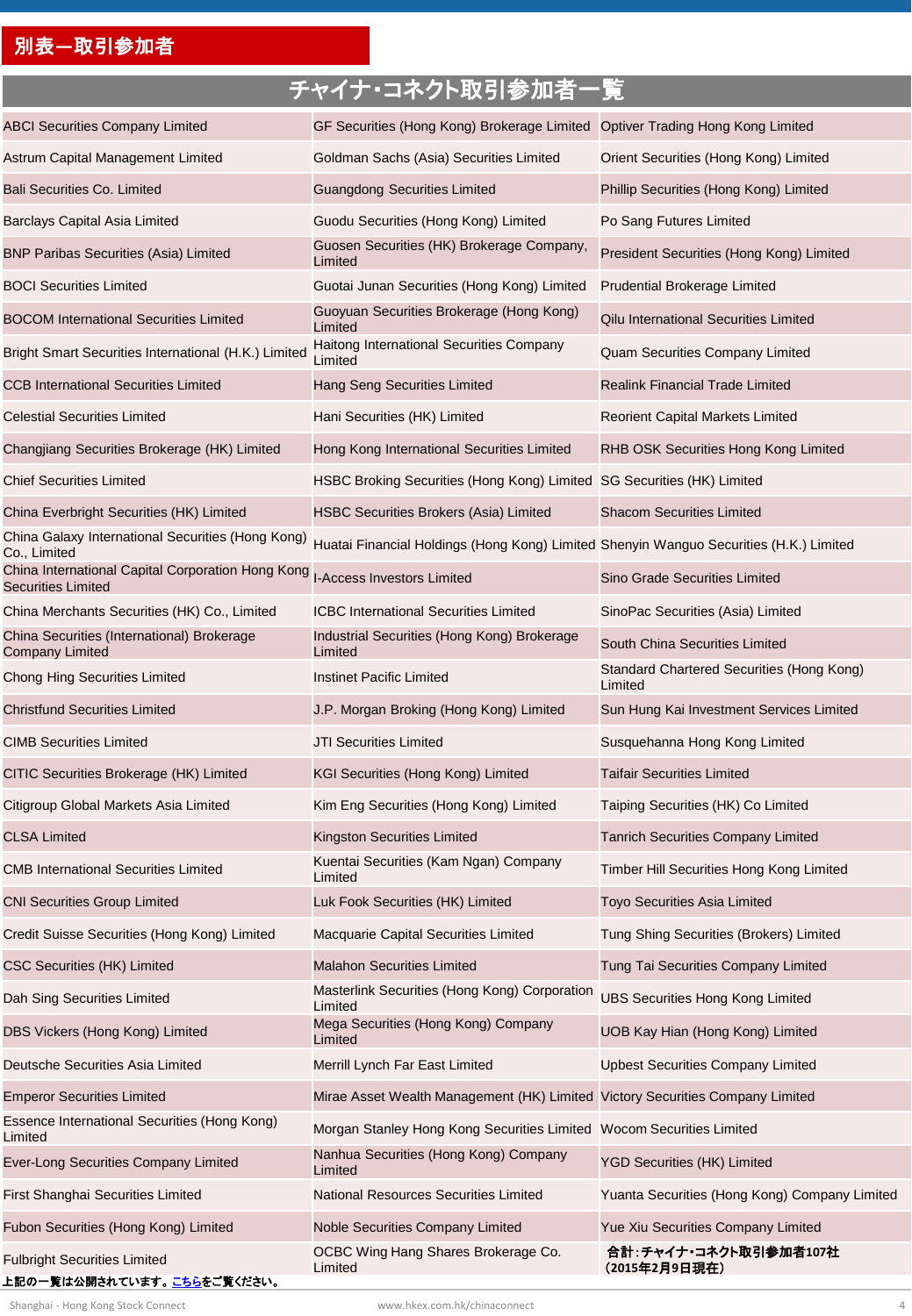### 別表**―**取引参加者

# チャイナ・コネクト取引参加者一覧

| <b>ABCI Securities Company Limited</b><br>GF Securities (Hong Kong) Brokerage Limited Optiver Trading Hong Kong Limited<br>Astrum Capital Management Limited<br>Goldman Sachs (Asia) Securities Limited<br>Orient Securities (Hong Kong) Limited<br>Bali Securities Co. Limited<br><b>Guangdong Securities Limited</b><br>Phillip Securities (Hong Kong) Limited<br>Guodu Securities (Hong Kong) Limited<br>Po Sang Futures Limited<br><b>Barclays Capital Asia Limited</b><br>Guosen Securities (HK) Brokerage Company,<br><b>BNP Paribas Securities (Asia) Limited</b><br>President Securities (Hong Kong) Limited<br>Limited<br><b>BOCI Securities Limited</b><br>Guotai Junan Securities (Hong Kong) Limited<br>Prudential Brokerage Limited<br>Guoyuan Securities Brokerage (Hong Kong)<br><b>BOCOM International Securities Limited</b><br>Qilu International Securities Limited<br>Limited<br>Haitong International Securities Company<br>Bright Smart Securities International (H.K.) Limited<br>Quam Securities Company Limited<br>Limited<br><b>CCB International Securities Limited</b><br>Hang Seng Securities Limited<br><b>Realink Financial Trade Limited</b><br><b>Celestial Securities Limited</b><br>Hani Securities (HK) Limited<br><b>Reorient Capital Markets Limited</b><br>Changjiang Securities Brokerage (HK) Limited<br>Hong Kong International Securities Limited<br>RHB OSK Securities Hong Kong Limited<br><b>Chief Securities Limited</b><br>HSBC Broking Securities (Hong Kong) Limited SG Securities (HK) Limited<br><b>Shacom Securities Limited</b><br>China Everbright Securities (HK) Limited<br><b>HSBC Securities Brokers (Asia) Limited</b><br>China Galaxy International Securities (Hong Kong)<br>Huatai Financial Holdings (Hong Kong) Limited Shenyin Wanguo Securities (H.K.) Limited<br>Co., Limited<br>China International Capital Corporation Hong Kong<br><b>I-Access Investors Limited</b><br><b>Sino Grade Securities Limited</b><br><b>Securities Limited</b><br>China Merchants Securities (HK) Co., Limited<br>ICBC International Securities Limited<br>SinoPac Securities (Asia) Limited<br>China Securities (International) Brokerage<br>Industrial Securities (Hong Kong) Brokerage<br>South China Securities Limited<br>Limited<br>Company Limited<br>Standard Chartered Securities (Hong Kong)<br><b>Instinet Pacific Limited</b><br><b>Chong Hing Securities Limited</b><br>Limited<br><b>Christfund Securities Limited</b><br>J.P. Morgan Broking (Hong Kong) Limited<br>Sun Hung Kai Investment Services Limited<br><b>CIMB Securities Limited</b><br>JTI Securities Limited<br>Susquehanna Hong Kong Limited<br><b>Taifair Securities Limited</b><br>CITIC Securities Brokerage (HK) Limited<br>KGI Securities (Hong Kong) Limited<br>Citigroup Global Markets Asia Limited<br>Kim Eng Securities (Hong Kong) Limited<br>Taiping Securities (HK) Co Limited<br><b>CLSA Limited</b><br>Kingston Securities Limited<br><b>Tanrich Securities Company Limited</b><br>Kuentai Securities (Kam Ngan) Company<br><b>CMB International Securities Limited</b><br>Timber Hill Securities Hong Kong Limited<br>Limited<br><b>CNI Securities Group Limited</b><br>Luk Fook Securities (HK) Limited<br><b>Toyo Securities Asia Limited</b><br>Credit Suisse Securities (Hong Kong) Limited<br>Macquarie Capital Securities Limited<br>Tung Shing Securities (Brokers) Limited<br><b>CSC Securities (HK) Limited</b><br><b>Malahon Securities Limited</b><br>Tung Tai Securities Company Limited<br>Masterlink Securities (Hong Kong) Corporation<br><b>UBS Securities Hong Kong Limited</b><br>Dah Sing Securities Limited<br>Limited<br>Mega Securities (Hong Kong) Company<br>DBS Vickers (Hong Kong) Limited<br>UOB Kay Hian (Hong Kong) Limited<br>Limited<br>Deutsche Securities Asia Limited<br>Merrill Lynch Far East Limited<br><b>Upbest Securities Company Limited</b><br><b>Emperor Securities Limited</b><br>Mirae Asset Wealth Management (HK) Limited Victory Securities Company Limited<br>Essence International Securities (Hong Kong) |  |
|-----------------------------------------------------------------------------------------------------------------------------------------------------------------------------------------------------------------------------------------------------------------------------------------------------------------------------------------------------------------------------------------------------------------------------------------------------------------------------------------------------------------------------------------------------------------------------------------------------------------------------------------------------------------------------------------------------------------------------------------------------------------------------------------------------------------------------------------------------------------------------------------------------------------------------------------------------------------------------------------------------------------------------------------------------------------------------------------------------------------------------------------------------------------------------------------------------------------------------------------------------------------------------------------------------------------------------------------------------------------------------------------------------------------------------------------------------------------------------------------------------------------------------------------------------------------------------------------------------------------------------------------------------------------------------------------------------------------------------------------------------------------------------------------------------------------------------------------------------------------------------------------------------------------------------------------------------------------------------------------------------------------------------------------------------------------------------------------------------------------------------------------------------------------------------------------------------------------------------------------------------------------------------------------------------------------------------------------------------------------------------------------------------------------------------------------------------------------------------------------------------------------------------------------------------------------------------------------------------------------------------------------------------------------------------------------------------------------------------------------------------------------------------------------------------------------------------------------------------------------------------------------------------------------------------------------------------------------------------------------------------------------------------------------------------------------------------------------------------------------------------------------------------------------------------------------------------------------------------------------------------------------------------------------------------------------------------------------------------------------------------------------------------------------------------------------------------------------------------------------------------------------------------------------------------------------------------------------------------------------------------------------------------------------------------------------------------------------------------------------------------------------------------------------------------------------------------------------------------------------------------------------------------------------------------------------------------------------------------------------------------------------------------------------------------------------------------------------------------------|--|
|                                                                                                                                                                                                                                                                                                                                                                                                                                                                                                                                                                                                                                                                                                                                                                                                                                                                                                                                                                                                                                                                                                                                                                                                                                                                                                                                                                                                                                                                                                                                                                                                                                                                                                                                                                                                                                                                                                                                                                                                                                                                                                                                                                                                                                                                                                                                                                                                                                                                                                                                                                                                                                                                                                                                                                                                                                                                                                                                                                                                                                                                                                                                                                                                                                                                                                                                                                                                                                                                                                                                                                                                                                                                                                                                                                                                                                                                                                                                                                                                                                                                                                           |  |
|                                                                                                                                                                                                                                                                                                                                                                                                                                                                                                                                                                                                                                                                                                                                                                                                                                                                                                                                                                                                                                                                                                                                                                                                                                                                                                                                                                                                                                                                                                                                                                                                                                                                                                                                                                                                                                                                                                                                                                                                                                                                                                                                                                                                                                                                                                                                                                                                                                                                                                                                                                                                                                                                                                                                                                                                                                                                                                                                                                                                                                                                                                                                                                                                                                                                                                                                                                                                                                                                                                                                                                                                                                                                                                                                                                                                                                                                                                                                                                                                                                                                                                           |  |
|                                                                                                                                                                                                                                                                                                                                                                                                                                                                                                                                                                                                                                                                                                                                                                                                                                                                                                                                                                                                                                                                                                                                                                                                                                                                                                                                                                                                                                                                                                                                                                                                                                                                                                                                                                                                                                                                                                                                                                                                                                                                                                                                                                                                                                                                                                                                                                                                                                                                                                                                                                                                                                                                                                                                                                                                                                                                                                                                                                                                                                                                                                                                                                                                                                                                                                                                                                                                                                                                                                                                                                                                                                                                                                                                                                                                                                                                                                                                                                                                                                                                                                           |  |
|                                                                                                                                                                                                                                                                                                                                                                                                                                                                                                                                                                                                                                                                                                                                                                                                                                                                                                                                                                                                                                                                                                                                                                                                                                                                                                                                                                                                                                                                                                                                                                                                                                                                                                                                                                                                                                                                                                                                                                                                                                                                                                                                                                                                                                                                                                                                                                                                                                                                                                                                                                                                                                                                                                                                                                                                                                                                                                                                                                                                                                                                                                                                                                                                                                                                                                                                                                                                                                                                                                                                                                                                                                                                                                                                                                                                                                                                                                                                                                                                                                                                                                           |  |
|                                                                                                                                                                                                                                                                                                                                                                                                                                                                                                                                                                                                                                                                                                                                                                                                                                                                                                                                                                                                                                                                                                                                                                                                                                                                                                                                                                                                                                                                                                                                                                                                                                                                                                                                                                                                                                                                                                                                                                                                                                                                                                                                                                                                                                                                                                                                                                                                                                                                                                                                                                                                                                                                                                                                                                                                                                                                                                                                                                                                                                                                                                                                                                                                                                                                                                                                                                                                                                                                                                                                                                                                                                                                                                                                                                                                                                                                                                                                                                                                                                                                                                           |  |
|                                                                                                                                                                                                                                                                                                                                                                                                                                                                                                                                                                                                                                                                                                                                                                                                                                                                                                                                                                                                                                                                                                                                                                                                                                                                                                                                                                                                                                                                                                                                                                                                                                                                                                                                                                                                                                                                                                                                                                                                                                                                                                                                                                                                                                                                                                                                                                                                                                                                                                                                                                                                                                                                                                                                                                                                                                                                                                                                                                                                                                                                                                                                                                                                                                                                                                                                                                                                                                                                                                                                                                                                                                                                                                                                                                                                                                                                                                                                                                                                                                                                                                           |  |
|                                                                                                                                                                                                                                                                                                                                                                                                                                                                                                                                                                                                                                                                                                                                                                                                                                                                                                                                                                                                                                                                                                                                                                                                                                                                                                                                                                                                                                                                                                                                                                                                                                                                                                                                                                                                                                                                                                                                                                                                                                                                                                                                                                                                                                                                                                                                                                                                                                                                                                                                                                                                                                                                                                                                                                                                                                                                                                                                                                                                                                                                                                                                                                                                                                                                                                                                                                                                                                                                                                                                                                                                                                                                                                                                                                                                                                                                                                                                                                                                                                                                                                           |  |
|                                                                                                                                                                                                                                                                                                                                                                                                                                                                                                                                                                                                                                                                                                                                                                                                                                                                                                                                                                                                                                                                                                                                                                                                                                                                                                                                                                                                                                                                                                                                                                                                                                                                                                                                                                                                                                                                                                                                                                                                                                                                                                                                                                                                                                                                                                                                                                                                                                                                                                                                                                                                                                                                                                                                                                                                                                                                                                                                                                                                                                                                                                                                                                                                                                                                                                                                                                                                                                                                                                                                                                                                                                                                                                                                                                                                                                                                                                                                                                                                                                                                                                           |  |
|                                                                                                                                                                                                                                                                                                                                                                                                                                                                                                                                                                                                                                                                                                                                                                                                                                                                                                                                                                                                                                                                                                                                                                                                                                                                                                                                                                                                                                                                                                                                                                                                                                                                                                                                                                                                                                                                                                                                                                                                                                                                                                                                                                                                                                                                                                                                                                                                                                                                                                                                                                                                                                                                                                                                                                                                                                                                                                                                                                                                                                                                                                                                                                                                                                                                                                                                                                                                                                                                                                                                                                                                                                                                                                                                                                                                                                                                                                                                                                                                                                                                                                           |  |
|                                                                                                                                                                                                                                                                                                                                                                                                                                                                                                                                                                                                                                                                                                                                                                                                                                                                                                                                                                                                                                                                                                                                                                                                                                                                                                                                                                                                                                                                                                                                                                                                                                                                                                                                                                                                                                                                                                                                                                                                                                                                                                                                                                                                                                                                                                                                                                                                                                                                                                                                                                                                                                                                                                                                                                                                                                                                                                                                                                                                                                                                                                                                                                                                                                                                                                                                                                                                                                                                                                                                                                                                                                                                                                                                                                                                                                                                                                                                                                                                                                                                                                           |  |
|                                                                                                                                                                                                                                                                                                                                                                                                                                                                                                                                                                                                                                                                                                                                                                                                                                                                                                                                                                                                                                                                                                                                                                                                                                                                                                                                                                                                                                                                                                                                                                                                                                                                                                                                                                                                                                                                                                                                                                                                                                                                                                                                                                                                                                                                                                                                                                                                                                                                                                                                                                                                                                                                                                                                                                                                                                                                                                                                                                                                                                                                                                                                                                                                                                                                                                                                                                                                                                                                                                                                                                                                                                                                                                                                                                                                                                                                                                                                                                                                                                                                                                           |  |
|                                                                                                                                                                                                                                                                                                                                                                                                                                                                                                                                                                                                                                                                                                                                                                                                                                                                                                                                                                                                                                                                                                                                                                                                                                                                                                                                                                                                                                                                                                                                                                                                                                                                                                                                                                                                                                                                                                                                                                                                                                                                                                                                                                                                                                                                                                                                                                                                                                                                                                                                                                                                                                                                                                                                                                                                                                                                                                                                                                                                                                                                                                                                                                                                                                                                                                                                                                                                                                                                                                                                                                                                                                                                                                                                                                                                                                                                                                                                                                                                                                                                                                           |  |
|                                                                                                                                                                                                                                                                                                                                                                                                                                                                                                                                                                                                                                                                                                                                                                                                                                                                                                                                                                                                                                                                                                                                                                                                                                                                                                                                                                                                                                                                                                                                                                                                                                                                                                                                                                                                                                                                                                                                                                                                                                                                                                                                                                                                                                                                                                                                                                                                                                                                                                                                                                                                                                                                                                                                                                                                                                                                                                                                                                                                                                                                                                                                                                                                                                                                                                                                                                                                                                                                                                                                                                                                                                                                                                                                                                                                                                                                                                                                                                                                                                                                                                           |  |
|                                                                                                                                                                                                                                                                                                                                                                                                                                                                                                                                                                                                                                                                                                                                                                                                                                                                                                                                                                                                                                                                                                                                                                                                                                                                                                                                                                                                                                                                                                                                                                                                                                                                                                                                                                                                                                                                                                                                                                                                                                                                                                                                                                                                                                                                                                                                                                                                                                                                                                                                                                                                                                                                                                                                                                                                                                                                                                                                                                                                                                                                                                                                                                                                                                                                                                                                                                                                                                                                                                                                                                                                                                                                                                                                                                                                                                                                                                                                                                                                                                                                                                           |  |
|                                                                                                                                                                                                                                                                                                                                                                                                                                                                                                                                                                                                                                                                                                                                                                                                                                                                                                                                                                                                                                                                                                                                                                                                                                                                                                                                                                                                                                                                                                                                                                                                                                                                                                                                                                                                                                                                                                                                                                                                                                                                                                                                                                                                                                                                                                                                                                                                                                                                                                                                                                                                                                                                                                                                                                                                                                                                                                                                                                                                                                                                                                                                                                                                                                                                                                                                                                                                                                                                                                                                                                                                                                                                                                                                                                                                                                                                                                                                                                                                                                                                                                           |  |
|                                                                                                                                                                                                                                                                                                                                                                                                                                                                                                                                                                                                                                                                                                                                                                                                                                                                                                                                                                                                                                                                                                                                                                                                                                                                                                                                                                                                                                                                                                                                                                                                                                                                                                                                                                                                                                                                                                                                                                                                                                                                                                                                                                                                                                                                                                                                                                                                                                                                                                                                                                                                                                                                                                                                                                                                                                                                                                                                                                                                                                                                                                                                                                                                                                                                                                                                                                                                                                                                                                                                                                                                                                                                                                                                                                                                                                                                                                                                                                                                                                                                                                           |  |
|                                                                                                                                                                                                                                                                                                                                                                                                                                                                                                                                                                                                                                                                                                                                                                                                                                                                                                                                                                                                                                                                                                                                                                                                                                                                                                                                                                                                                                                                                                                                                                                                                                                                                                                                                                                                                                                                                                                                                                                                                                                                                                                                                                                                                                                                                                                                                                                                                                                                                                                                                                                                                                                                                                                                                                                                                                                                                                                                                                                                                                                                                                                                                                                                                                                                                                                                                                                                                                                                                                                                                                                                                                                                                                                                                                                                                                                                                                                                                                                                                                                                                                           |  |
|                                                                                                                                                                                                                                                                                                                                                                                                                                                                                                                                                                                                                                                                                                                                                                                                                                                                                                                                                                                                                                                                                                                                                                                                                                                                                                                                                                                                                                                                                                                                                                                                                                                                                                                                                                                                                                                                                                                                                                                                                                                                                                                                                                                                                                                                                                                                                                                                                                                                                                                                                                                                                                                                                                                                                                                                                                                                                                                                                                                                                                                                                                                                                                                                                                                                                                                                                                                                                                                                                                                                                                                                                                                                                                                                                                                                                                                                                                                                                                                                                                                                                                           |  |
|                                                                                                                                                                                                                                                                                                                                                                                                                                                                                                                                                                                                                                                                                                                                                                                                                                                                                                                                                                                                                                                                                                                                                                                                                                                                                                                                                                                                                                                                                                                                                                                                                                                                                                                                                                                                                                                                                                                                                                                                                                                                                                                                                                                                                                                                                                                                                                                                                                                                                                                                                                                                                                                                                                                                                                                                                                                                                                                                                                                                                                                                                                                                                                                                                                                                                                                                                                                                                                                                                                                                                                                                                                                                                                                                                                                                                                                                                                                                                                                                                                                                                                           |  |
|                                                                                                                                                                                                                                                                                                                                                                                                                                                                                                                                                                                                                                                                                                                                                                                                                                                                                                                                                                                                                                                                                                                                                                                                                                                                                                                                                                                                                                                                                                                                                                                                                                                                                                                                                                                                                                                                                                                                                                                                                                                                                                                                                                                                                                                                                                                                                                                                                                                                                                                                                                                                                                                                                                                                                                                                                                                                                                                                                                                                                                                                                                                                                                                                                                                                                                                                                                                                                                                                                                                                                                                                                                                                                                                                                                                                                                                                                                                                                                                                                                                                                                           |  |
|                                                                                                                                                                                                                                                                                                                                                                                                                                                                                                                                                                                                                                                                                                                                                                                                                                                                                                                                                                                                                                                                                                                                                                                                                                                                                                                                                                                                                                                                                                                                                                                                                                                                                                                                                                                                                                                                                                                                                                                                                                                                                                                                                                                                                                                                                                                                                                                                                                                                                                                                                                                                                                                                                                                                                                                                                                                                                                                                                                                                                                                                                                                                                                                                                                                                                                                                                                                                                                                                                                                                                                                                                                                                                                                                                                                                                                                                                                                                                                                                                                                                                                           |  |
|                                                                                                                                                                                                                                                                                                                                                                                                                                                                                                                                                                                                                                                                                                                                                                                                                                                                                                                                                                                                                                                                                                                                                                                                                                                                                                                                                                                                                                                                                                                                                                                                                                                                                                                                                                                                                                                                                                                                                                                                                                                                                                                                                                                                                                                                                                                                                                                                                                                                                                                                                                                                                                                                                                                                                                                                                                                                                                                                                                                                                                                                                                                                                                                                                                                                                                                                                                                                                                                                                                                                                                                                                                                                                                                                                                                                                                                                                                                                                                                                                                                                                                           |  |
|                                                                                                                                                                                                                                                                                                                                                                                                                                                                                                                                                                                                                                                                                                                                                                                                                                                                                                                                                                                                                                                                                                                                                                                                                                                                                                                                                                                                                                                                                                                                                                                                                                                                                                                                                                                                                                                                                                                                                                                                                                                                                                                                                                                                                                                                                                                                                                                                                                                                                                                                                                                                                                                                                                                                                                                                                                                                                                                                                                                                                                                                                                                                                                                                                                                                                                                                                                                                                                                                                                                                                                                                                                                                                                                                                                                                                                                                                                                                                                                                                                                                                                           |  |
|                                                                                                                                                                                                                                                                                                                                                                                                                                                                                                                                                                                                                                                                                                                                                                                                                                                                                                                                                                                                                                                                                                                                                                                                                                                                                                                                                                                                                                                                                                                                                                                                                                                                                                                                                                                                                                                                                                                                                                                                                                                                                                                                                                                                                                                                                                                                                                                                                                                                                                                                                                                                                                                                                                                                                                                                                                                                                                                                                                                                                                                                                                                                                                                                                                                                                                                                                                                                                                                                                                                                                                                                                                                                                                                                                                                                                                                                                                                                                                                                                                                                                                           |  |
|                                                                                                                                                                                                                                                                                                                                                                                                                                                                                                                                                                                                                                                                                                                                                                                                                                                                                                                                                                                                                                                                                                                                                                                                                                                                                                                                                                                                                                                                                                                                                                                                                                                                                                                                                                                                                                                                                                                                                                                                                                                                                                                                                                                                                                                                                                                                                                                                                                                                                                                                                                                                                                                                                                                                                                                                                                                                                                                                                                                                                                                                                                                                                                                                                                                                                                                                                                                                                                                                                                                                                                                                                                                                                                                                                                                                                                                                                                                                                                                                                                                                                                           |  |
|                                                                                                                                                                                                                                                                                                                                                                                                                                                                                                                                                                                                                                                                                                                                                                                                                                                                                                                                                                                                                                                                                                                                                                                                                                                                                                                                                                                                                                                                                                                                                                                                                                                                                                                                                                                                                                                                                                                                                                                                                                                                                                                                                                                                                                                                                                                                                                                                                                                                                                                                                                                                                                                                                                                                                                                                                                                                                                                                                                                                                                                                                                                                                                                                                                                                                                                                                                                                                                                                                                                                                                                                                                                                                                                                                                                                                                                                                                                                                                                                                                                                                                           |  |
|                                                                                                                                                                                                                                                                                                                                                                                                                                                                                                                                                                                                                                                                                                                                                                                                                                                                                                                                                                                                                                                                                                                                                                                                                                                                                                                                                                                                                                                                                                                                                                                                                                                                                                                                                                                                                                                                                                                                                                                                                                                                                                                                                                                                                                                                                                                                                                                                                                                                                                                                                                                                                                                                                                                                                                                                                                                                                                                                                                                                                                                                                                                                                                                                                                                                                                                                                                                                                                                                                                                                                                                                                                                                                                                                                                                                                                                                                                                                                                                                                                                                                                           |  |
|                                                                                                                                                                                                                                                                                                                                                                                                                                                                                                                                                                                                                                                                                                                                                                                                                                                                                                                                                                                                                                                                                                                                                                                                                                                                                                                                                                                                                                                                                                                                                                                                                                                                                                                                                                                                                                                                                                                                                                                                                                                                                                                                                                                                                                                                                                                                                                                                                                                                                                                                                                                                                                                                                                                                                                                                                                                                                                                                                                                                                                                                                                                                                                                                                                                                                                                                                                                                                                                                                                                                                                                                                                                                                                                                                                                                                                                                                                                                                                                                                                                                                                           |  |
|                                                                                                                                                                                                                                                                                                                                                                                                                                                                                                                                                                                                                                                                                                                                                                                                                                                                                                                                                                                                                                                                                                                                                                                                                                                                                                                                                                                                                                                                                                                                                                                                                                                                                                                                                                                                                                                                                                                                                                                                                                                                                                                                                                                                                                                                                                                                                                                                                                                                                                                                                                                                                                                                                                                                                                                                                                                                                                                                                                                                                                                                                                                                                                                                                                                                                                                                                                                                                                                                                                                                                                                                                                                                                                                                                                                                                                                                                                                                                                                                                                                                                                           |  |
|                                                                                                                                                                                                                                                                                                                                                                                                                                                                                                                                                                                                                                                                                                                                                                                                                                                                                                                                                                                                                                                                                                                                                                                                                                                                                                                                                                                                                                                                                                                                                                                                                                                                                                                                                                                                                                                                                                                                                                                                                                                                                                                                                                                                                                                                                                                                                                                                                                                                                                                                                                                                                                                                                                                                                                                                                                                                                                                                                                                                                                                                                                                                                                                                                                                                                                                                                                                                                                                                                                                                                                                                                                                                                                                                                                                                                                                                                                                                                                                                                                                                                                           |  |
|                                                                                                                                                                                                                                                                                                                                                                                                                                                                                                                                                                                                                                                                                                                                                                                                                                                                                                                                                                                                                                                                                                                                                                                                                                                                                                                                                                                                                                                                                                                                                                                                                                                                                                                                                                                                                                                                                                                                                                                                                                                                                                                                                                                                                                                                                                                                                                                                                                                                                                                                                                                                                                                                                                                                                                                                                                                                                                                                                                                                                                                                                                                                                                                                                                                                                                                                                                                                                                                                                                                                                                                                                                                                                                                                                                                                                                                                                                                                                                                                                                                                                                           |  |
| Morgan Stanley Hong Kong Securities Limited Wocom Securities Limited<br>Limited                                                                                                                                                                                                                                                                                                                                                                                                                                                                                                                                                                                                                                                                                                                                                                                                                                                                                                                                                                                                                                                                                                                                                                                                                                                                                                                                                                                                                                                                                                                                                                                                                                                                                                                                                                                                                                                                                                                                                                                                                                                                                                                                                                                                                                                                                                                                                                                                                                                                                                                                                                                                                                                                                                                                                                                                                                                                                                                                                                                                                                                                                                                                                                                                                                                                                                                                                                                                                                                                                                                                                                                                                                                                                                                                                                                                                                                                                                                                                                                                                           |  |
| Nanhua Securities (Hong Kong) Company<br>Ever-Long Securities Company Limited<br>YGD Securities (HK) Limited<br>Limited                                                                                                                                                                                                                                                                                                                                                                                                                                                                                                                                                                                                                                                                                                                                                                                                                                                                                                                                                                                                                                                                                                                                                                                                                                                                                                                                                                                                                                                                                                                                                                                                                                                                                                                                                                                                                                                                                                                                                                                                                                                                                                                                                                                                                                                                                                                                                                                                                                                                                                                                                                                                                                                                                                                                                                                                                                                                                                                                                                                                                                                                                                                                                                                                                                                                                                                                                                                                                                                                                                                                                                                                                                                                                                                                                                                                                                                                                                                                                                                   |  |
| National Resources Securities Limited<br>First Shanghai Securities Limited<br>Yuanta Securities (Hong Kong) Company Limited                                                                                                                                                                                                                                                                                                                                                                                                                                                                                                                                                                                                                                                                                                                                                                                                                                                                                                                                                                                                                                                                                                                                                                                                                                                                                                                                                                                                                                                                                                                                                                                                                                                                                                                                                                                                                                                                                                                                                                                                                                                                                                                                                                                                                                                                                                                                                                                                                                                                                                                                                                                                                                                                                                                                                                                                                                                                                                                                                                                                                                                                                                                                                                                                                                                                                                                                                                                                                                                                                                                                                                                                                                                                                                                                                                                                                                                                                                                                                                               |  |
| Fubon Securities (Hong Kong) Limited<br>Noble Securities Company Limited<br>Yue Xiu Securities Company Limited                                                                                                                                                                                                                                                                                                                                                                                                                                                                                                                                                                                                                                                                                                                                                                                                                                                                                                                                                                                                                                                                                                                                                                                                                                                                                                                                                                                                                                                                                                                                                                                                                                                                                                                                                                                                                                                                                                                                                                                                                                                                                                                                                                                                                                                                                                                                                                                                                                                                                                                                                                                                                                                                                                                                                                                                                                                                                                                                                                                                                                                                                                                                                                                                                                                                                                                                                                                                                                                                                                                                                                                                                                                                                                                                                                                                                                                                                                                                                                                            |  |
| 合計:チャイナ・コネクト取引参加者107社<br>OCBC Wing Hang Shares Brokerage Co.<br><b>Fulbright Securities Limited</b><br>Limited<br>(2015年2月9日現在)<br>上記の一覧は公開されています。 <mark>こちら</mark> をご覧ください。                                                                                                                                                                                                                                                                                                                                                                                                                                                                                                                                                                                                                                                                                                                                                                                                                                                                                                                                                                                                                                                                                                                                                                                                                                                                                                                                                                                                                                                                                                                                                                                                                                                                                                                                                                                                                                                                                                                                                                                                                                                                                                                                                                                                                                                                                                                                                                                                                                                                                                                                                                                                                                                                                                                                                                                                                                                                                                                                                                                                                                                                                                                                                                                                                                                                                                                                                                                                                                                                                                                                                                                                                                                                                                                                                                                                                                                                                                                              |  |